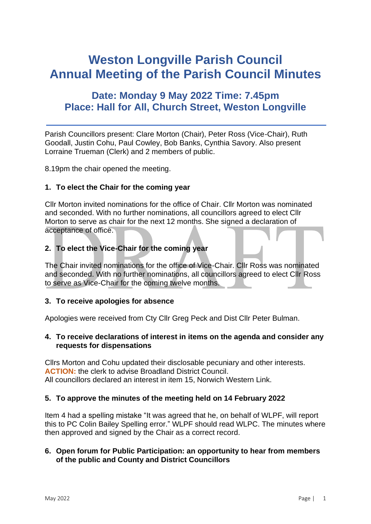# **Weston Longville Parish Council Annual Meeting of the Parish Council Minutes**

# **Date: Monday 9 May 2022 Time: 7.45pm Place: Hall for All, Church Street, Weston Longville**

Parish Councillors present: Clare Morton (Chair), Peter Ross (Vice-Chair), Ruth Goodall, Justin Cohu, Paul Cowley, Bob Banks, Cynthia Savory. Also present Lorraine Trueman (Clerk) and 2 members of public.

8.19pm the chair opened the meeting.

#### **1. To elect the Chair for the coming year**

Cllr Morton invited nominations for the office of Chair. Cllr Morton was nominated and seconded. With no further nominations, all councillors agreed to elect Cllr Morton to serve as chair for the next 12 months. She signed a declaration of acceptance of office.

#### **2. To elect the Vice-Chair for the coming year**

The Chair invited nominations for the office of Vice-Chair. Cllr Ross was nominated and seconded. With no further nominations, all councillors agreed to elect Cllr Ross to serve as Vice-Chair for the coming twelve months.

#### **3. To receive apologies for absence**

Apologies were received from Cty Cllr Greg Peck and Dist Cllr Peter Bulman.

#### **4. To receive declarations of interest in items on the agenda and consider any requests for dispensations**

Cllrs Morton and Cohu updated their disclosable pecuniary and other interests. **ACTION:** the clerk to advise Broadland District Council. All councillors declared an interest in item 15, Norwich Western Link.

#### **5. To approve the minutes of the meeting held on 14 February 2022**

Item 4 had a spelling mistake "It was agreed that he, on behalf of WLPF, will report this to PC Colin Bailey Spelling error." WLPF should read WLPC. The minutes where then approved and signed by the Chair as a correct record.

#### **6. Open forum for Public Participation: an opportunity to hear from members of the public and County and District Councillors**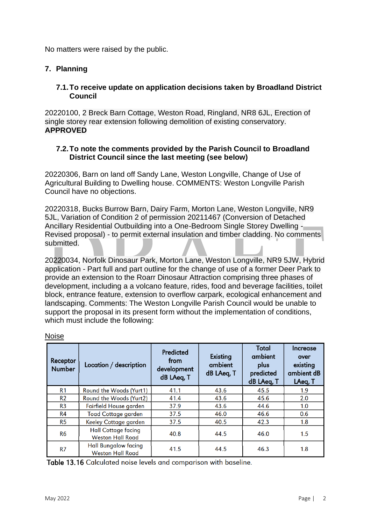No matters were raised by the public.

#### **7. Planning**

#### **7.1.To receive update on application decisions taken by Broadland District Council**

20220100, 2 Breck Barn Cottage, Weston Road, Ringland, NR8 6JL, Erection of single storey rear extension following demolition of existing conservatory. **APPROVED**

#### **7.2.To note the comments provided by the Parish Council to Broadland District Council since the last meeting (see below)**

20220306, Barn on land off Sandy Lane, Weston Longville, Change of Use of Agricultural Building to Dwelling house. COMMENTS: Weston Longville Parish Council have no objections.

20220318, Bucks Burrow Barn, Dairy Farm, Morton Lane, Weston Longville, NR9 5JL, Variation of Condition 2 of permission 20211467 (Conversion of Detached Ancillary Residential Outbuilding into a One-Bedroom Single Storey Dwelling - Revised proposal) - to permit external insulation and timber cladding. No comments submitted.

20220034, Norfolk Dinosaur Park, Morton Lane, Weston Longville, NR9 5JW, Hybrid application - Part full and part outline for the change of use of a former Deer Park to provide an extension to the Roarr Dinosaur Attraction comprising three phases of development, including a a volcano feature, rides, food and beverage facilities, toilet block, entrance feature, extension to overflow carpark, ecological enhancement and landscaping. Comments: The Weston Longville Parish Council would be unable to support the proposal in its present form without the implementation of conditions, which must include the following:

| Receptor<br><b>Number</b> | Location / description                                 | <b>Predicted</b><br>from<br>development<br>dB LAeq, T | Existing<br>ambient<br>dB LAeq, T | <b>Total</b><br>ambient<br>plus<br>predicted<br>dB LAeq, T | Increase<br>over<br>existing<br>ambient dB<br>LAeq, T |
|---------------------------|--------------------------------------------------------|-------------------------------------------------------|-----------------------------------|------------------------------------------------------------|-------------------------------------------------------|
| R <sub>1</sub>            | Round the Woods (Yurt1)                                | 41.1                                                  | 43.6                              | 45.5                                                       | 1.9                                                   |
| R <sub>2</sub>            | Round the Woods (Yurt2)                                | 41.4                                                  | 43.6                              | 45.6                                                       | 2.0                                                   |
| R <sub>3</sub>            | Fairfield House garden                                 | 37.9                                                  | 43.6                              | 44.6                                                       | 1.0                                                   |
| R <sub>4</sub>            | <b>Toad Cottage garden</b>                             | 37.5                                                  | 46.0                              | 46.6                                                       | 0.6                                                   |
| R <sub>5</sub>            | Keeley Cottage garden                                  | 37.5                                                  | 40.5                              | 42.3                                                       | 1.8                                                   |
| R <sub>6</sub>            | <b>Hall Cottage facing</b><br><b>Weston Hall Road</b>  | 40.8                                                  | 44.5                              | 46.0                                                       | 1.5                                                   |
| R <sub>7</sub>            | <b>Hall Bungalow facing</b><br><b>Weston Hall Road</b> | 41.5                                                  | 44.5                              | 46.3                                                       | 1.8                                                   |

Noise

Table 13.16 Calculated noise levels and comparison with baseline.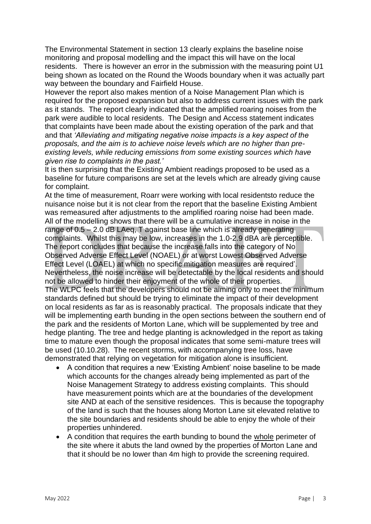The Environmental Statement in section 13 clearly explains the baseline noise monitoring and proposal modelling and the impact this will have on the local residents. There is however an error in the submission with the measuring point U1 being shown as located on the Round the Woods boundary when it was actually part way between the boundary and Fairfield House.

However the report also makes mention of a Noise Management Plan which is required for the proposed expansion but also to address current issues with the park as it stands. The report clearly indicated that the amplified roaring noises from the park were audible to local residents. The Design and Access statement indicates that complaints have been made about the existing operation of the park and that and that *'Alleviating and mitigating negative noise impacts is a key aspect of the proposals, and the aim is to achieve noise levels which are no higher than preexisting levels, while reducing emissions from some existing sources which have given rise to complaints in the past.'*

It is then surprising that the Existing Ambient readings proposed to be used as a baseline for future comparisons are set at the levels which are already giving cause for complaint.

At the time of measurement, Roarr were working with local residentsto reduce the nuisance noise but it is not clear from the report that the baseline Existing Ambient was remeasured after adjustments to the amplified roaring noise had been made. All of the modelling shows that there will be a cumulative increase in noise in the range of 0.5 – 2.0 dB LAeg, T against base line which is already generating complaints. Whilst this may be low, increases in the 1.0-2.9 dBA are perceptible. The report concludes that because the increase falls into the category of No Observed Adverse Effect Level (NOAEL) or at worst Lowest Observed Adverse Effect Level (LOAEL) at which no specific mitigation measures are required'. Nevertheless, the noise increase will be detectable by the local residents and should not be allowed to hinder their enjoyment of the whole of their properties. The WLPC feels that the developers should not be aiming only to meet the minimum standards defined but should be trying to eliminate the impact of their development on local residents as far as is reasonably practical. The proposals indicate that they will be implementing earth bunding in the open sections between the southern end of the park and the residents of Morton Lane, which will be supplemented by tree and hedge planting. The tree and hedge planting is acknowledged in the report as taking time to mature even though the proposal indicates that some semi-mature trees will be used (10.10.28). The recent storms, with accompanying tree loss, have demonstrated that relying on vegetation for mitigation alone is insufficient.

- A condition that requires a new 'Existing Ambient' noise baseline to be made which accounts for the changes already being implemented as part of the Noise Management Strategy to address existing complaints. This should have measurement points which are at the boundaries of the development site AND at each of the sensitive residences. This is because the topography of the land is such that the houses along Morton Lane sit elevated relative to the site boundaries and residents should be able to enjoy the whole of their properties unhindered.
- A condition that requires the earth bunding to bound the whole perimeter of the site where it abuts the land owned by the properties of Morton Lane and that it should be no lower than 4m high to provide the screening required.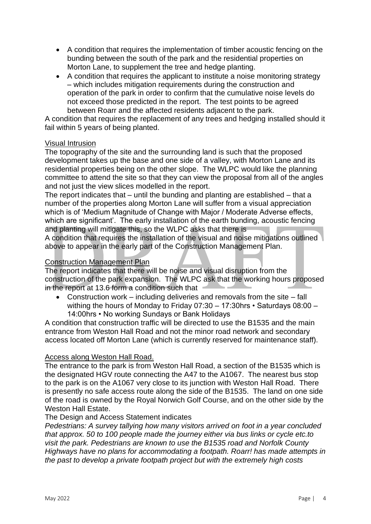- A condition that requires the implementation of timber acoustic fencing on the bunding between the south of the park and the residential properties on Morton Lane, to supplement the tree and hedge planting.
- A condition that requires the applicant to institute a noise monitoring strategy – which includes mitigation requirements during the construction and operation of the park in order to confirm that the cumulative noise levels do not exceed those predicted in the report. The test points to be agreed between Roarr and the affected residents adjacent to the park.

A condition that requires the replacement of any trees and hedging installed should it fail within 5 years of being planted.

#### Visual Intrusion

The topography of the site and the surrounding land is such that the proposed development takes up the base and one side of a valley, with Morton Lane and its residential properties being on the other slope. The WLPC would like the planning committee to attend the site so that they can view the proposal from all of the angles and not just the view slices modelled in the report.

The report indicates that – until the bunding and planting are established – that a number of the properties along Morton Lane will suffer from a visual appreciation which is of 'Medium Magnitude of Change with Major / Moderate Adverse effects, which are significant'. The early installation of the earth bunding, acoustic fencing and planting will mitigate this, so the WLPC asks that there is

A condition that requires the installation of the visual and noise mitigations outlined above to appear in the early part of the Construction Management Plan.

#### Construction Management Plan

The report indicates that there will be noise and visual disruption from the construction of the park expansion. The WLPC ask that the working hours proposed in the report at 13.6 form a condition such that

• Construction work – including deliveries and removals from the site – fall withing the hours of Monday to Friday 07:30 – 17:30hrs • Saturdays 08:00 – 14:00hrs • No working Sundays or Bank Holidays

A condition that construction traffic will be directed to use the B1535 and the main entrance from Weston Hall Road and not the minor road network and secondary access located off Morton Lane (which is currently reserved for maintenance staff).

#### Access along Weston Hall Road.

The entrance to the park is from Weston Hall Road, a section of the B1535 which is the designated HGV route connecting the A47 to the A1067. The nearest bus stop to the park is on the A1067 very close to its junction with Weston Hall Road. There is presently no safe access route along the side of the B1535. The land on one side of the road is owned by the Royal Norwich Golf Course, and on the other side by the Weston Hall Estate.

#### The Design and Access Statement indicates

*Pedestrians: A survey tallying how many visitors arrived on foot in a year concluded that approx. 50 to 100 people made the journey either via bus links or cycle etc.to visit the park. Pedestrians are known to use the B1535 road and Norfolk County Highways have no plans for accommodating a footpath. Roarr! has made attempts in the past to develop a private footpath project but with the extremely high costs*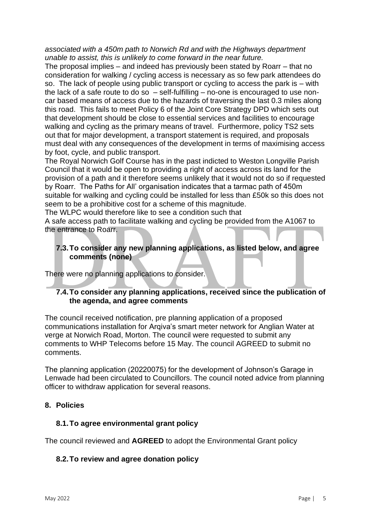*associated with a 450m path to Norwich Rd and with the Highways department unable to assist, this is unlikely to come forward in the near future.*

The proposal implies – and indeed has previously been stated by Roarr – that no consideration for walking / cycling access is necessary as so few park attendees do so. The lack of people using public transport or cycling to access the park is – with the lack of a safe route to do so – self-fulfilling – no-one is encouraged to use noncar based means of access due to the hazards of traversing the last 0.3 miles along this road. This fails to meet Policy 6 of the Joint Core Strategy DPD which sets out that development should be close to essential services and facilities to encourage walking and cycling as the primary means of travel. Furthermore, policy TS2 sets out that for major development, a transport statement is required, and proposals must deal with any consequences of the development in terms of maximising access by foot, cycle, and public transport.

The Royal Norwich Golf Course has in the past indicted to Weston Longville Parish Council that it would be open to providing a right of access across its land for the provision of a path and it therefore seems unlikely that it would not do so if requested by Roarr. The Paths for All' organisation indicates that a tarmac path of 450m suitable for walking and cycling could be installed for less than £50k so this does not seem to be a prohibitive cost for a scheme of this magnitude.

The WLPC would therefore like to see a condition such that

A safe access path to facilitate walking and cycling be provided from the A1067 to the entrance to Roarr.

#### **7.3.To consider any new planning applications, as listed below, and agree comments (none)**

There were no planning applications to consider.

#### **7.4.To consider any planning applications, received since the publication of the agenda, and agree comments**

The council received notification, pre planning application of a proposed communications installation for Arqiva's smart meter network for Anglian Water at verge at Norwich Road, Morton. The council were requested to submit any comments to WHP Telecoms before 15 May. The council AGREED to submit no comments.

The planning application (20220075) for the development of Johnson's Garage in Lenwade had been circulated to Councillors. The council noted advice from planning officer to withdraw application for several reasons.

#### **8. Policies**

#### **8.1.To agree environmental grant policy**

The council reviewed and **AGREED** to adopt the Environmental Grant policy

#### **8.2.To review and agree donation policy**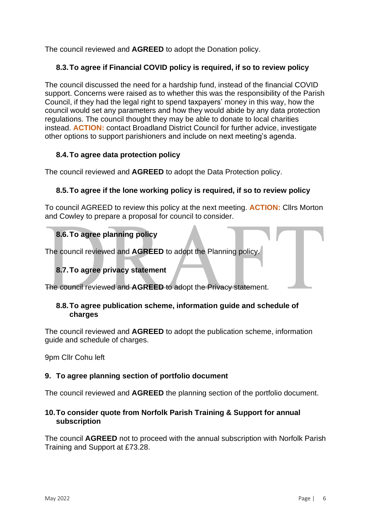The council reviewed and **AGREED** to adopt the Donation policy.

# **8.3.To agree if Financial COVID policy is required, if so to review policy**

The council discussed the need for a hardship fund, instead of the financial COVID support. Concerns were raised as to whether this was the responsibility of the Parish Council, if they had the legal right to spend taxpayers' money in this way, how the council would set any parameters and how they would abide by any data protection regulations. The council thought they may be able to donate to local charities instead. **ACTION:** contact Broadland District Council for further advice, investigate other options to support parishioners and include on next meeting's agenda.

# **8.4.To agree data protection policy**

The council reviewed and **AGREED** to adopt the Data Protection policy.

#### **8.5.To agree if the lone working policy is required, if so to review policy**

To council AGREED to review this policy at the next meeting. **ACTION:** Cllrs Morton and Cowley to prepare a proposal for council to consider.

# **8.6.To agree planning policy**

The council reviewed and **AGREED** to adopt the Planning policy.

# **8.7.To agree privacy statement**

The council reviewed and **AGREED** to adopt the Privacy statement.

#### **8.8.To agree publication scheme, information guide and schedule of charges**

The council reviewed and **AGREED** to adopt the publication scheme, information guide and schedule of charges.

9pm Cllr Cohu left

#### **9. To agree planning section of portfolio document**

The council reviewed and **AGREED** the planning section of the portfolio document.

#### **10.To consider quote from Norfolk Parish Training & Support for annual subscription**

The council **AGREED** not to proceed with the annual subscription with Norfolk Parish Training and Support at £73.28.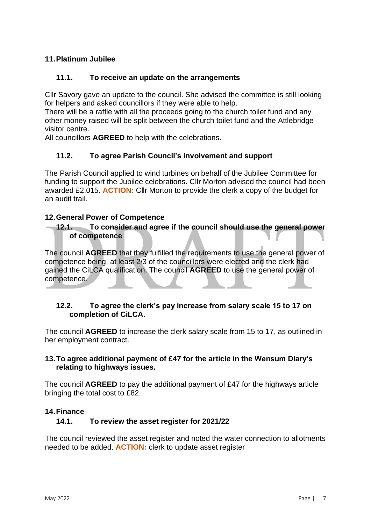### **11.Platinum Jubilee**

#### **11.1. To receive an update on the arrangements**

Cllr Savory gave an update to the council. She advised the committee is still looking for helpers and asked councillors if they were able to help.

There will be a raffle with all the proceeds going to the church toilet fund and any other money raised will be split between the church toilet fund and the Attlebridge visitor centre.

All councillors **AGREED** to help with the celebrations.

#### **11.2. To agree Parish Council's involvement and support**

The Parish Council applied to wind turbines on behalf of the Jubilee Committee for funding to support the Jubilee celebrations. Cllr Morton advised the council had been awarded £2,015. **ACTION:** Cllr Morton to provide the clerk a copy of the budget for an audit trail.

#### **12.General Power of Competence**

#### **12.1. To consider and agree if the council should use the general power of competence**

The council **AGREED** that they fulfilled the requirements to use the general power of competence being, at least 2/3 of the councillors were elected and the clerk had gained the CiLCA qualification. The council **AGREED** to use the general power of competence.

#### **12.2. To agree the clerk's pay increase from salary scale 15 to 17 on completion of CiLCA.**

The council **AGREED** to increase the clerk salary scale from 15 to 17, as outlined in her employment contract.

#### **13.To agree additional payment of £47 for the article in the Wensum Diary's relating to highways issues.**

The council **AGREED** to pay the additional payment of £47 for the highways article bringing the total cost to £82.

#### **14.Finance**

#### **14.1. To review the asset register for 2021/22**

The council reviewed the asset register and noted the water connection to allotments needed to be added. **ACTION:** clerk to update asset register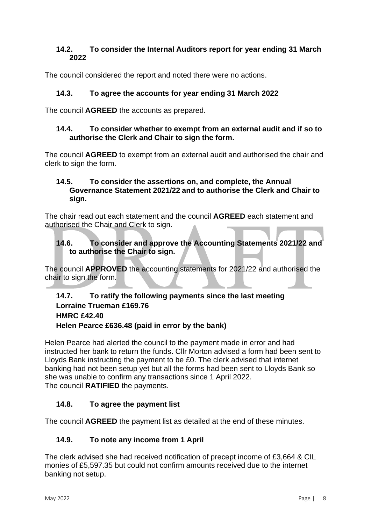#### **14.2. To consider the Internal Auditors report for year ending 31 March 2022**

The council considered the report and noted there were no actions.

# **14.3. To agree the accounts for year ending 31 March 2022**

The council **AGREED** the accounts as prepared.

#### **14.4. To consider whether to exempt from an external audit and if so to authorise the Clerk and Chair to sign the form.**

The council **AGREED** to exempt from an external audit and authorised the chair and clerk to sign the form.

#### **14.5. To consider the assertions on, and complete, the Annual Governance Statement 2021/22 and to authorise the Clerk and Chair to sign.**

The chair read out each statement and the council **AGREED** each statement and authorised the Chair and Clerk to sign.

#### **14.6. To consider and approve the Accounting Statements 2021/22 and to authorise the Chair to sign.**

The council **APPROVED** the accounting statements for 2021/22 and authorised the chair to sign the form.

### **14.7. To ratify the following payments since the last meeting Lorraine Trueman £169.76 HMRC £42.40 Helen Pearce £636.48 (paid in error by the bank)**

Helen Pearce had alerted the council to the payment made in error and had instructed her bank to return the funds. Cllr Morton advised a form had been sent to Lloyds Bank instructing the payment to be £0. The clerk advised that internet banking had not been setup yet but all the forms had been sent to Lloyds Bank so she was unable to confirm any transactions since 1 April 2022. The council **RATIFIED** the payments.

# **14.8. To agree the payment list**

The council **AGREED** the payment list as detailed at the end of these minutes.

#### **14.9. To note any income from 1 April**

The clerk advised she had received notification of precept income of £3,664 & CIL monies of £5,597.35 but could not confirm amounts received due to the internet banking not setup.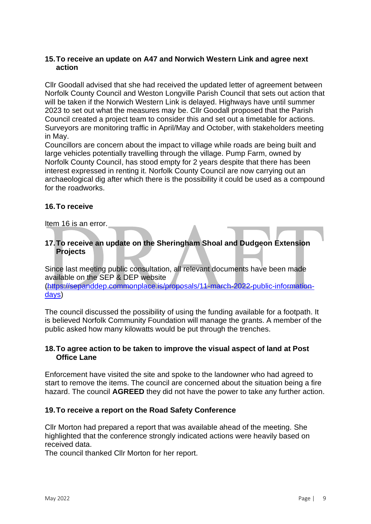#### **15.To receive an update on A47 and Norwich Western Link and agree next action**

Cllr Goodall advised that she had received the updated letter of agreement between Norfolk County Council and Weston Longville Parish Council that sets out action that will be taken if the Norwich Western Link is delayed. Highways have until summer 2023 to set out what the measures may be. Cllr Goodall proposed that the Parish Council created a project team to consider this and set out a timetable for actions. Surveyors are monitoring traffic in April/May and October, with stakeholders meeting in May.

Councillors are concern about the impact to village while roads are being built and large vehicles potentially travelling through the village. Pump Farm, owned by Norfolk County Council, has stood empty for 2 years despite that there has been interest expressed in renting it. Norfolk County Council are now carrying out an archaeological dig after which there is the possibility it could be used as a compound for the roadworks.

#### **16.To receive**

Item 16 is an error.

#### **17.To receive an update on the Sheringham Shoal and Dudgeon Extension Projects**

Since last meeting public consultation, all relevant documents have been made available on the SEP & DEP website [\(https://sepanddep.commonplace.is/proposals/11-march-2022-public-information](https://sepanddep.commonplace.is/proposals/11-march-2022-public-information-days)[days\)](https://sepanddep.commonplace.is/proposals/11-march-2022-public-information-days)

The council discussed the possibility of using the funding available for a footpath. It is believed Norfolk Community Foundation will manage the grants. A member of the public asked how many kilowatts would be put through the trenches.

#### **18.To agree action to be taken to improve the visual aspect of land at Post Office Lane**

Enforcement have visited the site and spoke to the landowner who had agreed to start to remove the items. The council are concerned about the situation being a fire hazard. The council **AGREED** they did not have the power to take any further action.

#### **19.To receive a report on the Road Safety Conference**

Cllr Morton had prepared a report that was available ahead of the meeting. She highlighted that the conference strongly indicated actions were heavily based on received data.

The council thanked Cllr Morton for her report.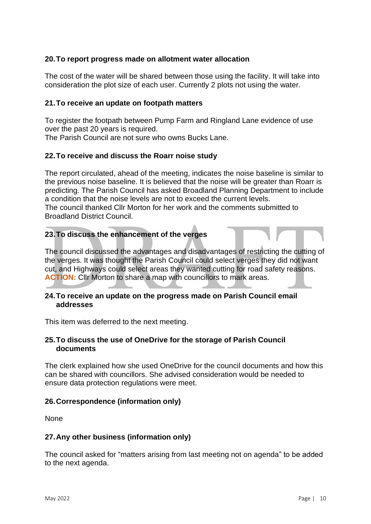#### **20.To report progress made on allotment water allocation**

The cost of the water will be shared between those using the facility. It will take into consideration the plot size of each user. Currently 2 plots not using the water.

#### **21.To receive an update on footpath matters**

To register the footpath between Pump Farm and Ringland Lane evidence of use over the past 20 years is required.

The Parish Council are not sure who owns Bucks Lane.

#### **22.To receive and discuss the Roarr noise study**

The report circulated, ahead of the meeting, indicates the noise baseline is similar to the previous noise baseline. It is believed that the noise will be greater than Roarr is predicting. The Parish Council has asked Broadland Planning Department to include a condition that the noise levels are not to exceed the current levels. The council thanked Cllr Morton for her work and the comments submitted to Broadland District Council.

#### **23.To discuss the enhancement of the verges**

The council discussed the advantages and disadvantages of restricting the cutting of the verges. It was thought the Parish Council could select verges they did not want cut, and Highways could select areas they wanted cutting for road safety reasons. **ACTION:** Cllr Morton to share a map with councillors to mark areas.

#### **24.To receive an update on the progress made on Parish Council email addresses**

This item was deferred to the next meeting.

#### **25.To discuss the use of OneDrive for the storage of Parish Council documents**

The clerk explained how she used OneDrive for the council documents and how this can be shared with councillors. She advised consideration would be needed to ensure data protection regulations were meet.

#### **26.Correspondence (information only)**

None

#### **27.Any other business (information only)**

The council asked for "matters arising from last meeting not on agenda" to be added to the next agenda.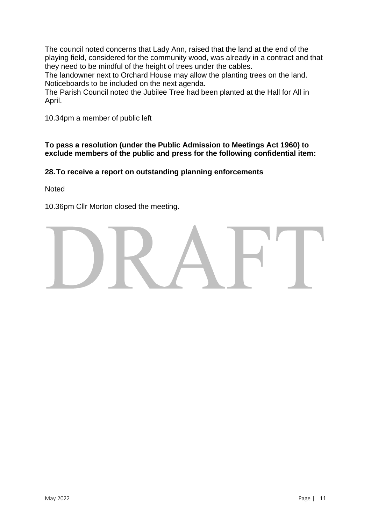The council noted concerns that Lady Ann, raised that the land at the end of the playing field, considered for the community wood, was already in a contract and that they need to be mindful of the height of trees under the cables.

The landowner next to Orchard House may allow the planting trees on the land. Noticeboards to be included on the next agenda.

The Parish Council noted the Jubilee Tree had been planted at the Hall for All in April.

10.34pm a member of public left

**To pass a resolution (under the Public Admission to Meetings Act 1960) to exclude members of the public and press for the following confidential item:** 

#### **28.To receive a report on outstanding planning enforcements**

**Noted** 

10.36pm Cllr Morton closed the meeting.